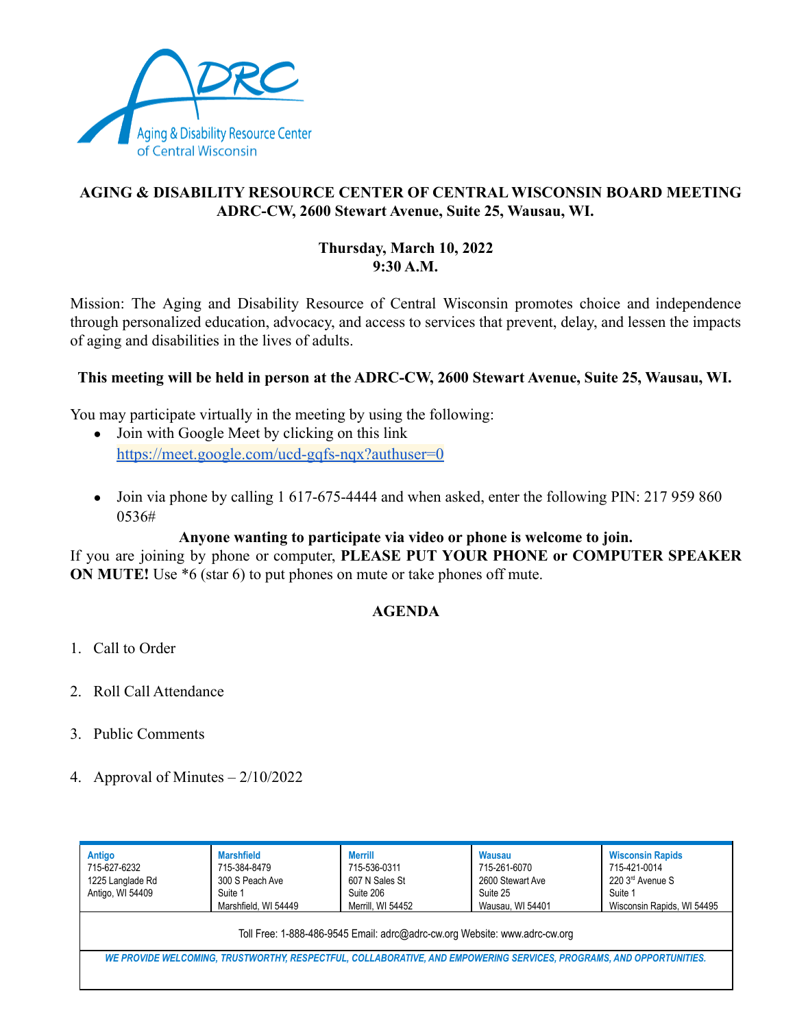

# **AGING & DISABILITY RESOURCE CENTER OF CENTRAL WISCONSIN BOARD MEETING ADRC-CW, 2600 Stewart Avenue, Suite 25, Wausau, WI.**

### **Thursday, March 10, 2022 9:30 A.M.**

Mission: The Aging and Disability Resource of Central Wisconsin promotes choice and independence through personalized education, advocacy, and access to services that prevent, delay, and lessen the impacts of aging and disabilities in the lives of adults.

## **This meeting will be held in person at the ADRC-CW, 2600 Stewart Avenue, Suite 25, Wausau, WI.**

You may participate virtually in the meeting by using the following:

- Join with Google Meet by clicking on this link <https://meet.google.com/ucd-gqfs-nqx?authuser=0>
- Join via phone by calling 1 617-675-4444 and when asked, enter the following PIN: 217 959 860 0536#

### **Anyone wanting to participate via video or phone is welcome to join.**

If you are joining by phone or computer, **PLEASE PUT YOUR PHONE or COMPUTER SPEAKER ON MUTE!** Use  $*6$  (star 6) to put phones on mute or take phones off mute.

### **AGENDA**

- 1. Call to Order
- 2. Roll Call Attendance
- 3. Public Comments
- 4. Approval of Minutes 2/10/2022

| Antigo<br>715-627-6232<br>1225 Langlade Rd<br>Antigo, WI 54409                                                      | <b>Marshfield</b><br>715-384-8479<br>300 S Peach Ave<br>Suite 1<br>Marshfield, WI 54449 | <b>Merrill</b><br>715-536-0311<br>607 N Sales St<br>Suite 206<br>Merrill. WI 54452 | <b>Wausau</b><br>715-261-6070<br>2600 Stewart Ave<br>Suite 25<br>Wausau, WI 54401 | <b>Wisconsin Rapids</b><br>715-421-0014<br>220 3rd Avenue S<br>Suite 1<br>Wisconsin Rapids, WI 54495 |
|---------------------------------------------------------------------------------------------------------------------|-----------------------------------------------------------------------------------------|------------------------------------------------------------------------------------|-----------------------------------------------------------------------------------|------------------------------------------------------------------------------------------------------|
| Toll Free: 1-888-486-9545 Email: adrc@adrc-cw.org Website: www.adrc-cw.org                                          |                                                                                         |                                                                                    |                                                                                   |                                                                                                      |
| WE PROVIDE WELCOMING, TRUSTWORTHY, RESPECTFUL, COLLABORATIVE, AND EMPOWERING SERVICES, PROGRAMS, AND OPPORTUNITIES. |                                                                                         |                                                                                    |                                                                                   |                                                                                                      |